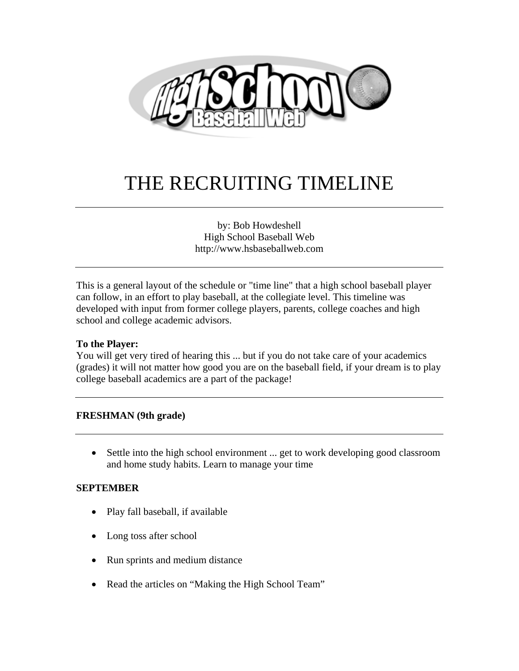

# THE RECRUITING TIMELINE

by: Bob Howdeshell High School Baseball Web http://www.hsbaseballweb.com

This is a general layout of the schedule or "time line" that a high school baseball player can follow, in an effort to play baseball, at the collegiate level. This timeline was developed with input from former college players, parents, college coaches and high school and college academic advisors.

# **To the Player:**

You will get very tired of hearing this ... but if you do not take care of your academics (grades) it will not matter how good you are on the baseball field, if your dream is to play college baseball academics are a part of the package!

# **FRESHMAN (9th grade)**

• Settle into the high school environment ... get to work developing good classroom and home study habits. Learn to manage your time

#### **SEPTEMBER**

- Play fall baseball, if available
- Long toss after school
- Run sprints and medium distance
- Read the articles on "Making the High School Team"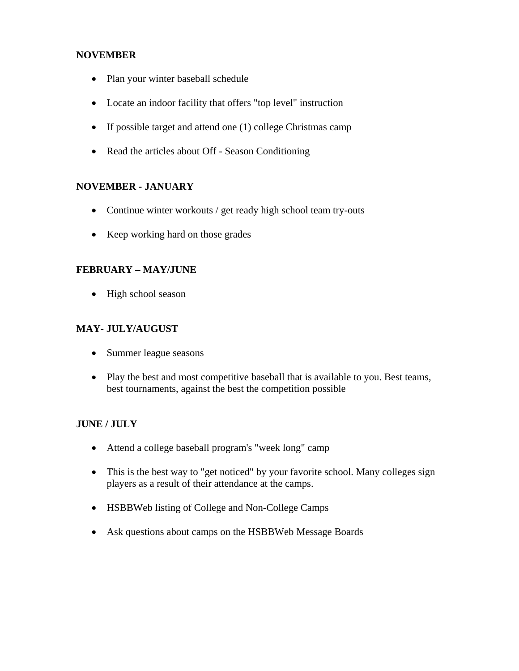## **NOVEMBER**

- Plan your winter baseball schedule
- Locate an indoor facility that offers "top level" instruction
- If possible target and attend one (1) college Christmas camp
- Read the articles about Off Season Conditioning

# **NOVEMBER - JANUARY**

- Continue winter workouts / get ready high school team try-outs
- Keep working hard on those grades

# **FEBRUARY – MAY/JUNE**

• High school season

# **MAY- JULY/AUGUST**

- Summer league seasons
- Play the best and most competitive baseball that is available to you. Best teams, best tournaments, against the best the competition possible

# **JUNE / JULY**

- Attend a college baseball program's "week long" camp
- This is the best way to "get noticed" by your favorite school. Many colleges sign players as a result of their attendance at the camps.
- HSBBWeb listing of College and Non-College Camps
- Ask questions about camps on the HSBBWeb Message Boards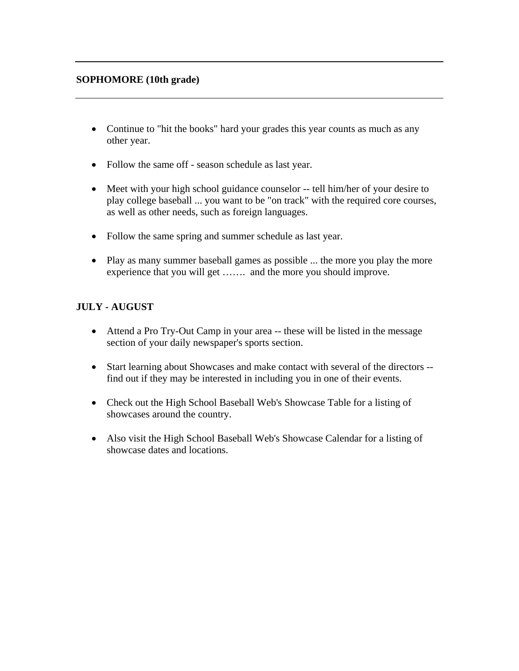## **SOPHOMORE (10th grade)**

- Continue to "hit the books" hard your grades this year counts as much as any other year.
- Follow the same off season schedule as last year.
- Meet with your high school guidance counselor -- tell him/her of your desire to play college baseball ... you want to be "on track" with the required core courses, as well as other needs, such as foreign languages.
- Follow the same spring and summer schedule as last year.
- Play as many summer baseball games as possible ... the more you play the more experience that you will get ……. and the more you should improve.

# **JULY - AUGUST**

- Attend a Pro Try-Out Camp in your area -- these will be listed in the message section of your daily newspaper's sports section.
- Start learning about Showcases and make contact with several of the directors find out if they may be interested in including you in one of their events.
- Check out the High School Baseball Web's Showcase Table for a listing of showcases around the country.
- Also visit the High School Baseball Web's Showcase Calendar for a listing of showcase dates and locations.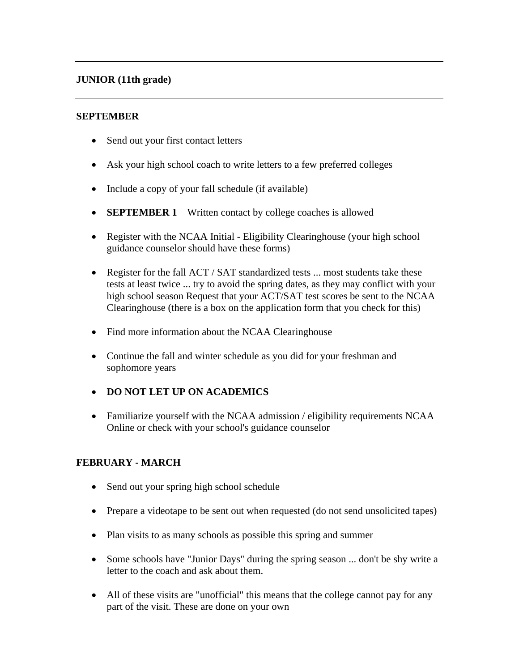# **JUNIOR (11th grade)**

#### **SEPTEMBER**

- Send out your first contact letters
- Ask your high school coach to write letters to a few preferred colleges
- Include a copy of your fall schedule (if available)
- **SEPTEMBER 1** Written contact by college coaches is allowed
- Register with the NCAA Initial Eligibility Clearinghouse (your high school guidance counselor should have these forms)
- Register for the fall ACT / SAT standardized tests ... most students take these tests at least twice ... try to avoid the spring dates, as they may conflict with your high school season Request that your ACT/SAT test scores be sent to the NCAA Clearinghouse (there is a box on the application form that you check for this)
- Find more information about the NCAA Clearinghouse
- Continue the fall and winter schedule as you did for your freshman and sophomore years
- **DO NOT LET UP ON ACADEMICS**
- Familiarize yourself with the NCAA admission / eligibility requirements NCAA Online or check with your school's guidance counselor

# **FEBRUARY - MARCH**

- Send out your spring high school schedule
- Prepare a videotape to be sent out when requested (do not send unsolicited tapes)
- Plan visits to as many schools as possible this spring and summer
- Some schools have "Junior Days" during the spring season ... don't be shy write a letter to the coach and ask about them.
- All of these visits are "unofficial" this means that the college cannot pay for any part of the visit. These are done on your own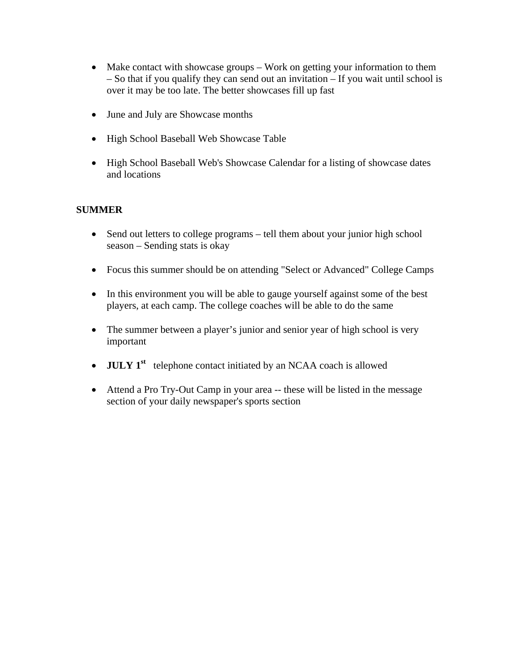- Make contact with showcase groups Work on getting your information to them – So that if you qualify they can send out an invitation – If you wait until school is over it may be too late. The better showcases fill up fast
- June and July are Showcase months
- High School Baseball Web Showcase Table
- High School Baseball Web's Showcase Calendar for a listing of showcase dates and locations

# **SUMMER**

- Send out letters to college programs tell them about your junior high school season – Sending stats is okay
- Focus this summer should be on attending "Select or Advanced" College Camps
- In this environment you will be able to gauge yourself against some of the best players, at each camp. The college coaches will be able to do the same
- The summer between a player's junior and senior year of high school is very important
- **JULY 1<sup>st</sup>** telephone contact initiated by an NCAA coach is allowed
- Attend a Pro Try-Out Camp in your area -- these will be listed in the message section of your daily newspaper's sports section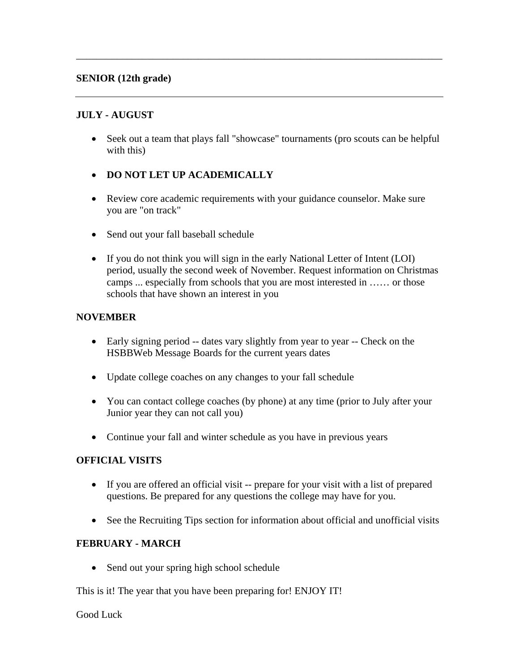#### **SENIOR (12th grade)**

# **JULY - AUGUST**

• Seek out a team that plays fall "showcase" tournaments (pro scouts can be helpful with this)

\_\_\_\_\_\_\_\_\_\_\_\_\_\_\_\_\_\_\_\_\_\_\_\_\_\_\_\_\_\_\_\_\_\_\_\_\_\_\_\_\_\_\_\_\_\_\_\_\_\_\_\_\_\_\_\_\_\_\_\_\_\_\_\_\_\_\_\_\_\_\_\_

- **DO NOT LET UP ACADEMICALLY**
- Review core academic requirements with your guidance counselor. Make sure you are "on track"
- Send out your fall baseball schedule
- If you do not think you will sign in the early National Letter of Intent (LOI) period, usually the second week of November. Request information on Christmas camps ... especially from schools that you are most interested in …… or those schools that have shown an interest in you

#### **NOVEMBER**

- Early signing period -- dates vary slightly from year to year -- Check on the HSBBWeb Message Boards for the current years dates
- Update college coaches on any changes to your fall schedule
- You can contact college coaches (by phone) at any time (prior to July after your Junior year they can not call you)
- Continue your fall and winter schedule as you have in previous years

#### **OFFICIAL VISITS**

- If you are offered an official visit -- prepare for your visit with a list of prepared questions. Be prepared for any questions the college may have for you.
- See the Recruiting Tips section for information about official and unofficial visits

#### **FEBRUARY - MARCH**

• Send out your spring high school schedule

This is it! The year that you have been preparing for! ENJOY IT!

#### Good Luck